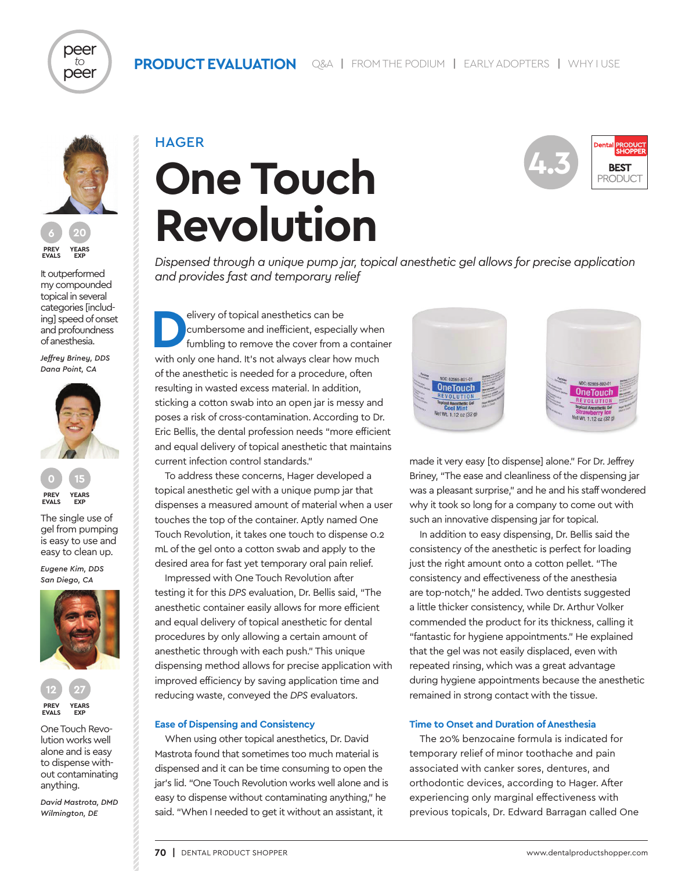

peer *to* peer

**PREV EVALS YEARS EXP**

It outperformed my compounded topical in several categories [including] speed of onset and profoundness of anesthesia.

*Jeffrey Briney, DDS Dana Point, CA*



The single use of gel from pumping is easy to use and easy to clean up.

*Eugene Kim, DDS San Diego, CA*





One Touch Revolution works well alone and is easy to dispense without contaminating anything.

*David Mastrota, DMD Wilmington, DE*

# **HAGER One Touch Revolution**



*Dispensed through a unique pump jar, topical anesthetic gel allows for precise application and provides fast and temporary relief*

elivery of topical anesthetics can be<br>
cumbersome and inefficient, especially when<br>
fumbling to remove the cover from a container<br>
with salves hand, it and always also have much cumbersome and inefficient, especially when with only one hand. It's not always clear how much of the anesthetic is needed for a procedure, often resulting in wasted excess material. In addition, sticking a cotton swab into an open jar is messy and poses a risk of cross-contamination. According to Dr. Eric Bellis, the dental profession needs "more efficient and equal delivery of topical anesthetic that maintains current infection control standards."

To address these concerns, Hager developed a topical anesthetic gel with a unique pump jar that dispenses a measured amount of material when a user touches the top of the container. Aptly named One Touch Revolution, it takes one touch to dispense 0.2 mL of the gel onto a cotton swab and apply to the desired area for fast yet temporary oral pain relief.

Impressed with One Touch Revolution after testing it for this *DPS* evaluation, Dr. Bellis said, "The anesthetic container easily allows for more efficient and equal delivery of topical anesthetic for dental procedures by only allowing a certain amount of anesthetic through with each push." This unique dispensing method allows for precise application with improved efficiency by saving application time and reducing waste, conveyed the *DPS* evaluators.

#### **Ease of Dispensing and Consistency**

When using other topical anesthetics, Dr. David Mastrota found that sometimes too much material is dispensed and it can be time consuming to open the jar's lid. "One Touch Revolution works well alone and is easy to dispense without contaminating anything," he said. "When I needed to get it without an assistant, it



made it very easy [to dispense] alone." For Dr. Jeffrey Briney, "The ease and cleanliness of the dispensing jar was a pleasant surprise," and he and his staff wondered why it took so long for a company to come out with such an innovative dispensing jar for topical.

In addition to easy dispensing, Dr. Bellis said the consistency of the anesthetic is perfect for loading just the right amount onto a cotton pellet. "The consistency and effectiveness of the anesthesia are top-notch," he added. Two dentists suggested a little thicker consistency, while Dr. Arthur Volker commended the product for its thickness, calling it "fantastic for hygiene appointments." He explained that the gel was not easily displaced, even with repeated rinsing, which was a great advantage during hygiene appointments because the anesthetic remained in strong contact with the tissue.

#### **Time to Onset and Duration of Anesthesia**

The 20% benzocaine formula is indicated for temporary relief of minor toothache and pain associated with canker sores, dentures, and orthodontic devices, according to Hager. After experiencing only marginal effectiveness with previous topicals, Dr. Edward Barragan called One